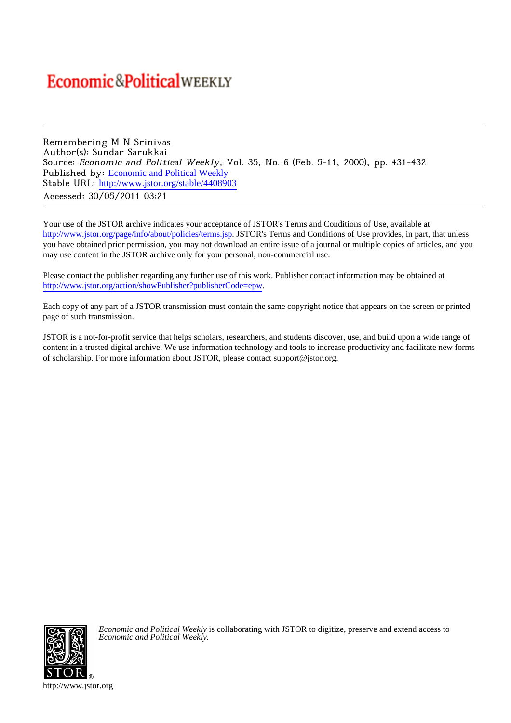## **Economic&PoliticalWEEKLY**

Remembering M N Srinivas Author(s): Sundar Sarukkai Source: Economic and Political Weekly, Vol. 35, No. 6 (Feb. 5-11, 2000), pp. 431-432 Published by: [Economic and Political Weekly](http://www.jstor.org/action/showPublisher?publisherCode=epw) Stable URL: [http://www.jstor.org/stable/4408903](http://www.jstor.org/stable/4408903?origin=JSTOR-pdf) Accessed: 30/05/2011 03:21

Your use of the JSTOR archive indicates your acceptance of JSTOR's Terms and Conditions of Use, available at <http://www.jstor.org/page/info/about/policies/terms.jsp>. JSTOR's Terms and Conditions of Use provides, in part, that unless you have obtained prior permission, you may not download an entire issue of a journal or multiple copies of articles, and you may use content in the JSTOR archive only for your personal, non-commercial use.

Please contact the publisher regarding any further use of this work. Publisher contact information may be obtained at [http://www.jstor.org/action/showPublisher?publisherCode=epw.](http://www.jstor.org/action/showPublisher?publisherCode=epw) .

Each copy of any part of a JSTOR transmission must contain the same copyright notice that appears on the screen or printed page of such transmission.

JSTOR is a not-for-profit service that helps scholars, researchers, and students discover, use, and build upon a wide range of content in a trusted digital archive. We use information technology and tools to increase productivity and facilitate new forms of scholarship. For more information about JSTOR, please contact support@jstor.org.



*Economic and Political Weekly* is collaborating with JSTOR to digitize, preserve and extend access to *Economic and Political Weekly.*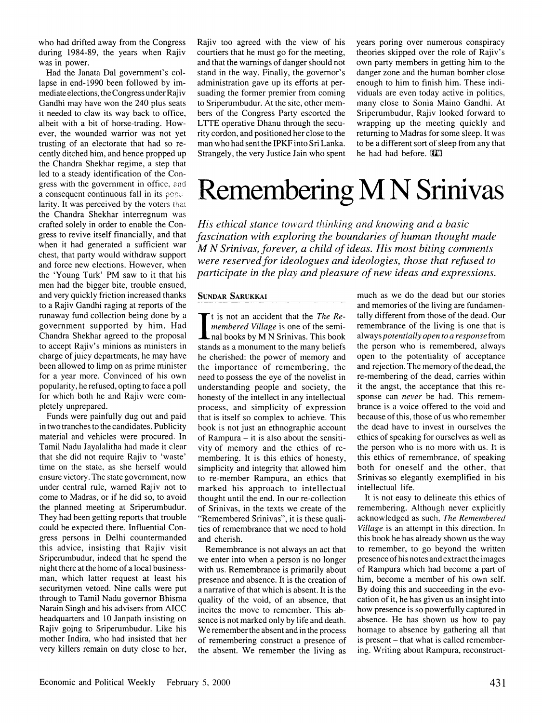**who had drifted away from the Congress during 1984-89, the years when Rajiv was in power.** 

**Had the Janata Dal government's collapse in end-1990 been followed by immediate elections, the Congress underRajiv Gandhi may have won the 240 plus seats it needed to claw its way back to office, albeit with a bit of horse-trading. However, the wounded warrior was not yet trusting of an electorate that had so recently ditched him, and hence propped up the Chandra Shekhar regime, a step that led to a steady identification of the Congress with the government in office, and**  a consequent continuous fall in its pope larity. It was perceived by the voters that **the Chandra Shekhar interregnum was crafted solely in order to enable the Congress to revive itself financially, and that when it had generated a sufficient war chest, that party would withdraw support and force new elections. However, when the 'Young Turk' PM saw to it that his men had the bigger bite, trouble ensued, and very quickly friction increased thanks to a Rajiv Gandhi raging at reports of the runaway fund collection being done by a government supported by him. Had Chandra Shekhar agreed to the proposal to accept Rajiv's minions as ministers in charge of juicy departments, he may have been allowed to limp on as prime minister for a year more. Convinced of his own popularity, he refused, opting to face a poll for which both he and Rajiv were completely unprepared.** 

**Funds were painfully dug out and paid in two tranches to the candidates. Publicity material and vehicles were procured. In Tamil Nadu Jayalalitha had made it clear that she did not require Rajiv to 'waste' time on the state, as she herself would ensure victory. The state government, now under central rule, warned Rajiv not to come to Madras, or if he did so, to avoid the planned meeting at Sriperumbudur. They had been getting reports that trouble could be expected there. Influential Congress persons in Delhi countermanded this advice, insisting that Rajiv visit Sriperumbudur, indeed that he spend the night there at the home of a local businessman, which latter request at least his securitymen vetoed. Nine calls were put through to Tamil Nadu governor Bhisma Narain Singh and his advisers from AICC headquarters and 10 Janpath insisting on Rajiv going to Sriperumbudur. Like his mother Indira, who had insisted that her very killers remain on duty close to her,**  **Rajiv too agreed with the view of his courtiers that he must go for the meeting, and that the warnings of danger should not stand in the way. Finally, the governor's administration gave up its efforts at persuading the former premier from coming to Sriperumbudur. At the site, other members of the Congress Party escorted the LTTE operative Dhanu through the security cordon, and positioned her close to the man who had sent the IPKF into Sri Lanka. Strangely, the very Justice Jain who spent**  **years poring over numerous conspiracy theories skipped over the role of Rajiv's own party members in getting him to the danger zone and the human bomber close enough to him to finish him. These individuals are even today active in politics, many close to Sonia Maino Gandhi. At Sriperumbudur, Rajiv looked forward to wrapping up the meeting quickly and returning to Madras for some sleep. It was to be a different sort of sleep from any that**  he had had before. **[27]** 

## **Remembering M N Srinivas**

**His ethical stance toward thinking and knowing and a basic fascination with exploring the boundaries of human thought made M N Srinivas, forever, a child of ideas. His most biting comments**  were reserved for ideologues and ideologies, those that refused to **participate in the play and pleasure of new ideas and expressions.** 

## **SUNDAR SARUKKAI**

**t is not an accident that the The Remembered Village is one of the seminal books by M N Srinivas. This book stands as a monument to the many beliefs he cherished: the power of memory and the importance of remembering, the need to possess the eye of the novelist in understanding people and society, the honesty of the intellect in any intellectual process, and simplicity of expression that is itself so complex to achieve. This book is not just an ethnographic account of Rampura - it is also about the sensitivity of memory and the ethics of remembering. It is this ethics of honesty, simplicity and integrity that allowed him to re-member Rampura, an ethics that marked his approach to intellectual thought until the end. In our re-collection of Srinivas, in the texts we create of the "Remembered Srinivas", it is these qualities of remembrance that we need to hold and cherish.** 

**Remembrance is not always an act that we enter into when a person is no longer with us. Remembrance is primarily about presence and absence. It is the creation of a narrative of that which is absent. It is the quality of the void, of an absence, that incites the move to remember. This absence is not marked only by life and death. We remember the absent and in the process of remembering construct a presence of the absent. We remember the living as**  **much as we do the dead but our stories and memories of the living are fundamentally different from those of the dead. Our remembrance of the living is one that is alwayspotentially open to a response from the person who is remembered, always open to the potentiality of acceptance and rejection. The memory of the dead, the re-membering of the dead, carries within it the angst, the acceptance that this response can never be had. This remembrance is a voice offered to the void and because of this, those of us who remember the dead have to invest in ourselves the ethics of speaking for ourselves as well as the person who is no more with us. It is this ethics of remembrance, of speaking both for oneself and the other, that Srinivas so elegantly exemplified in his intellectual life.** 

**It is not easy to delineate this ethics of remembering. Although never explicitly acknowledged as such, The Remembered Village is an attempt in this direction. In this book he has already shown us the way to remember, to go beyond the written presence of his notes and extract the images of Rampura which had become a part of him, become a member of his own self. By doing this and succeeding in the evocation of it, he has given us an insight into how presence is so powerfully captured in absence. He has shown us how to pay homage to absence by gathering all that is present - that what is called remembering. Writing about Rampura, reconstruct-**